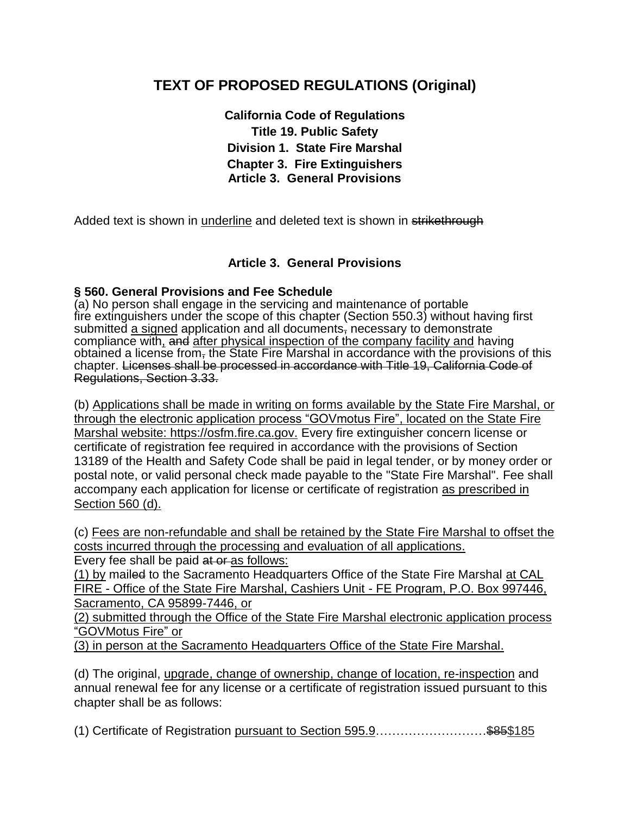# **TEXT OF PROPOSED REGULATIONS (Original)**

**California Code of Regulations Title 19. Public Safety Division 1. State Fire Marshal Chapter 3. Fire Extinguishers Article 3. General Provisions**

Added text is shown in underline and deleted text is shown in strikethrough

## **Article 3. General Provisions**

## **§ 560. General Provisions and Fee Schedule**

(a) No person shall engage in the servicing and maintenance of portable fire extinguishers under the scope of this chapter (Section 550.3) without having first submitted a signed application and all documents, necessary to demonstrate compliance with, and after physical inspection of the company facility and having obtained a license from, the State Fire Marshal in accordance with the provisions of this chapter. Licenses shall be processed in accordance with Title 19, California Code of Regulations, Section 3.33.

(b) Applications shall be made in writing on forms available by the State Fire Marshal, or through the electronic application process "GOVmotus Fire", located on the State Fire Marshal website: https://osfm.fire.ca.gov. Every fire extinguisher concern license or certificate of registration fee required in accordance with the provisions of Section 13189 of the Health and Safety Code shall be paid in legal tender, or by money order or postal note, or valid personal check made payable to the "State Fire Marshal". Fee shall accompany each application for license or certificate of registration as prescribed in Section 560 (d).

(c) Fees are non-refundable and shall be retained by the State Fire Marshal to offset the costs incurred through the processing and evaluation of all applications.

Every fee shall be paid at or as follows:

(1) by mailed to the Sacramento Headquarters Office of the State Fire Marshal at CAL FIRE - Office of the State Fire Marshal, Cashiers Unit - FE Program, P.O. Box 997446, Sacramento, CA 95899-7446, or

(2) submitted through the Office of the State Fire Marshal electronic application process "GOVMotus Fire" or

(3) in person at the Sacramento Headquarters Office of the State Fire Marshal.

(d) The original, upgrade, change of ownership, change of location, re-inspection and annual renewal fee for any license or a certificate of registration issued pursuant to this chapter shall be as follows:

(1) Certificate of Registration pursuant to Section 595.9………………………\$85\$185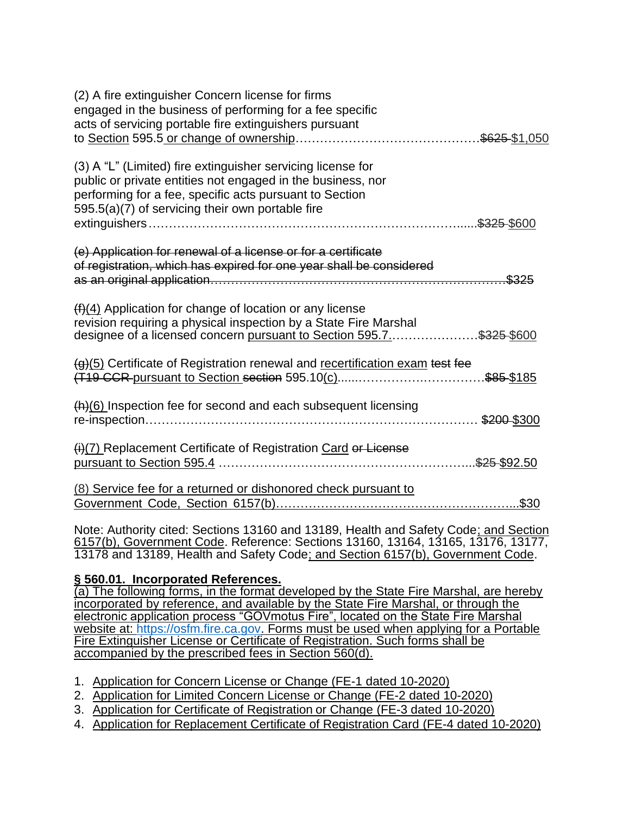| (2) A fire extinguisher Concern license for firms<br>engaged in the business of performing for a fee specific<br>acts of servicing portable fire extinguishers pursuant                                                                   | \$625 \$1,050 |
|-------------------------------------------------------------------------------------------------------------------------------------------------------------------------------------------------------------------------------------------|---------------|
| (3) A "L" (Limited) fire extinguisher servicing license for<br>public or private entities not engaged in the business, nor<br>performing for a fee, specific acts pursuant to Section<br>595.5(a)(7) of servicing their own portable fire | \$325-\$600   |
| (e) Application for renewal of a license or for a certificate<br>of registration, which has expired for one year shall be considered                                                                                                      | \$325         |
| $(f)(4)$ Application for change of location or any license<br>revision requiring a physical inspection by a State Fire Marshal<br>designee of a licensed concern pursuant to Section 595.7\$325-\$600                                     |               |
| (g)(5) Certificate of Registration renewal and recertification exam test fee<br>(T19 CCR pursuant to Section section 595.10(c)                                                                                                            | \$85 \$185    |
| $(h)(6)$ Inspection fee for second and each subsequent licensing                                                                                                                                                                          | \$200-\$300   |
| (i)(7) Replacement Certificate of Registration Card or License<br>pursuant to Section 595.4.                                                                                                                                              | \$25 \$92.50  |
| (8) Service fee for a returned or dishonored check pursuant to                                                                                                                                                                            | $.$ \$30      |

Note: Authority cited: Sections 13160 and 13189, Health and Safety Code; and Section 6157(b), Government Code. Reference: Sections 13160, 13164, 13165, 13176, 13177, 13178 and 13189, Health and Safety Code; and Section 6157(b), Government Code.

## **§ 560.01. Incorporated References.**

(a) The following forms, in the format developed by the State Fire Marshal, are hereby incorporated by reference, and available by the State Fire Marshal, or through the electronic application process "GOVmotus Fire", located on the State Fire Marshal website at: [https://osfm.fire.ca.gov.](https://osfm.fire.ca.gov/) Forms must be used when applying for a Portable Fire Extinguisher License or Certificate of Registration. Such forms shall be accompanied by the prescribed fees in Section 560(d).

- 1. Application for Concern License or Change (FE-1 dated 10-2020)
- 2. Application for Limited Concern License or Change (FE-2 dated 10-2020)
- 3. Application for Certificate of Registration or Change (FE-3 dated 10-2020)
- 4. Application for Replacement Certificate of Registration Card (FE-4 dated 10-2020)